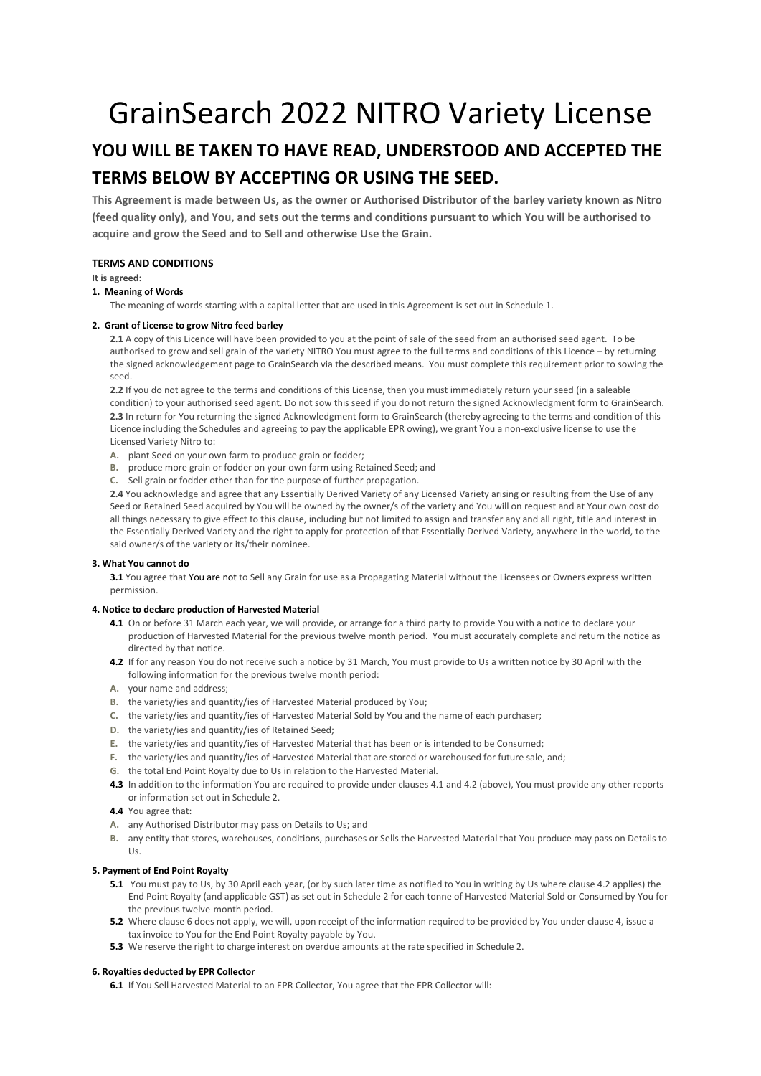## GrainSearch 2022 NITRO Variety License

## **YOU WILL BE TAKEN TO HAVE READ, UNDERSTOOD AND ACCEPTED THE TERMS BELOW BY ACCEPTING OR USING THE SEED.**

**This Agreement is made between Us, as the owner or Authorised Distributor of the barley variety known as Nitro (feed quality only), and You, and sets out the terms and conditions pursuant to which You will be authorised to acquire and grow the Seed and to Sell and otherwise Use the Grain.**

## **TERMS AND CONDITIONS**

#### **It is agreed:**

#### **1. Meaning of Words**

The meaning of words starting with a capital letter that are used in this Agreement is set out in Schedule 1.

#### **2. Grant of License to grow Nitro feed barley**

**2.1** A copy of this Licence will have been provided to you at the point of sale of the seed from an authorised seed agent. To be authorised to grow and sell grain of the variety NITRO You must agree to the full terms and conditions of this Licence – by returning the signed acknowledgement page to GrainSearch via the described means. You must complete this requirement prior to sowing the seed.

**2.2** If you do not agree to the terms and conditions of this License, then you must immediately return your seed (in a saleable condition) to your authorised seed agent. Do not sow this seed if you do not return the signed Acknowledgment form to GrainSearch. **2.3** In return for You returning the signed Acknowledgment form to GrainSearch (thereby agreeing to the terms and condition of this Licence including the Schedules and agreeing to pay the applicable EPR owing), we grant You a non-exclusive license to use the Licensed Variety Nitro to:

- **A.** plant Seed on your own farm to produce grain or fodder;
- **B.** produce more grain or fodder on your own farm using Retained Seed; and
- **C.** Sell grain or fodder other than for the purpose of further propagation.

**2.4** You acknowledge and agree that any Essentially Derived Variety of any Licensed Variety arising or resulting from the Use of any Seed or Retained Seed acquired by You will be owned by the owner/s of the variety and You will on request and at Your own cost do all things necessary to give effect to this clause, including but not limited to assign and transfer any and all right, title and interest in the Essentially Derived Variety and the right to apply for protection of that Essentially Derived Variety, anywhere in the world, to the said owner/s of the variety or its/their nominee.

#### **3. What You cannot do**

**3.1** You agree that You are not to Sell any Grain for use as a Propagating Material without the Licensees or Owners express written permission.

#### **4. Notice to declare production of Harvested Material**

- **4.1** On or before 31 March each year, we will provide, or arrange for a third party to provide You with a notice to declare your production of Harvested Material for the previous twelve month period. You must accurately complete and return the notice as directed by that notice.
- **4.2** If for any reason You do not receive such a notice by 31 March, You must provide to Us a written notice by 30 April with the following information for the previous twelve month period:
- **A.** your name and address;
- **B.** the variety/ies and quantity/ies of Harvested Material produced by You;
- **C.** the variety/ies and quantity/ies of Harvested Material Sold by You and the name of each purchaser;
- **D.** the variety/ies and quantity/ies of Retained Seed;
- **E.** the variety/ies and quantity/ies of Harvested Material that has been or is intended to be Consumed;
- **F.** the variety/ies and quantity/ies of Harvested Material that are stored or warehoused for future sale, and;
- **G.** the total End Point Royalty due to Us in relation to the Harvested Material.
- **4.3** In addition to the information You are required to provide under clauses 4.1 and 4.2 (above), You must provide any other reports or information set out in Schedule 2.
- **4.4** You agree that:
- **A.** any Authorised Distributor may pass on Details to Us; and
- **B.** any entity that stores, warehouses, conditions, purchases or Sells the Harvested Material that You produce may pass on Details to  $Us$ .

#### **5. Payment of End Point Royalty**

- **5.1** You must pay to Us, by 30 April each year, (or by such later time as notified to You in writing by Us where clause 4.2 applies) the End Point Royalty (and applicable GST) as set out in Schedule 2 for each tonne of Harvested Material Sold or Consumed by You for the previous twelve-month period.
- **5.2** Where clause 6 does not apply, we will, upon receipt of the information required to be provided by You under clause 4, issue a tax invoice to You for the End Point Royalty payable by You.
- **5.3** We reserve the right to charge interest on overdue amounts at the rate specified in Schedule 2.

#### **6. Royalties deducted by EPR Collector**

**6.1** If You Sell Harvested Material to an EPR Collector, You agree that the EPR Collector will: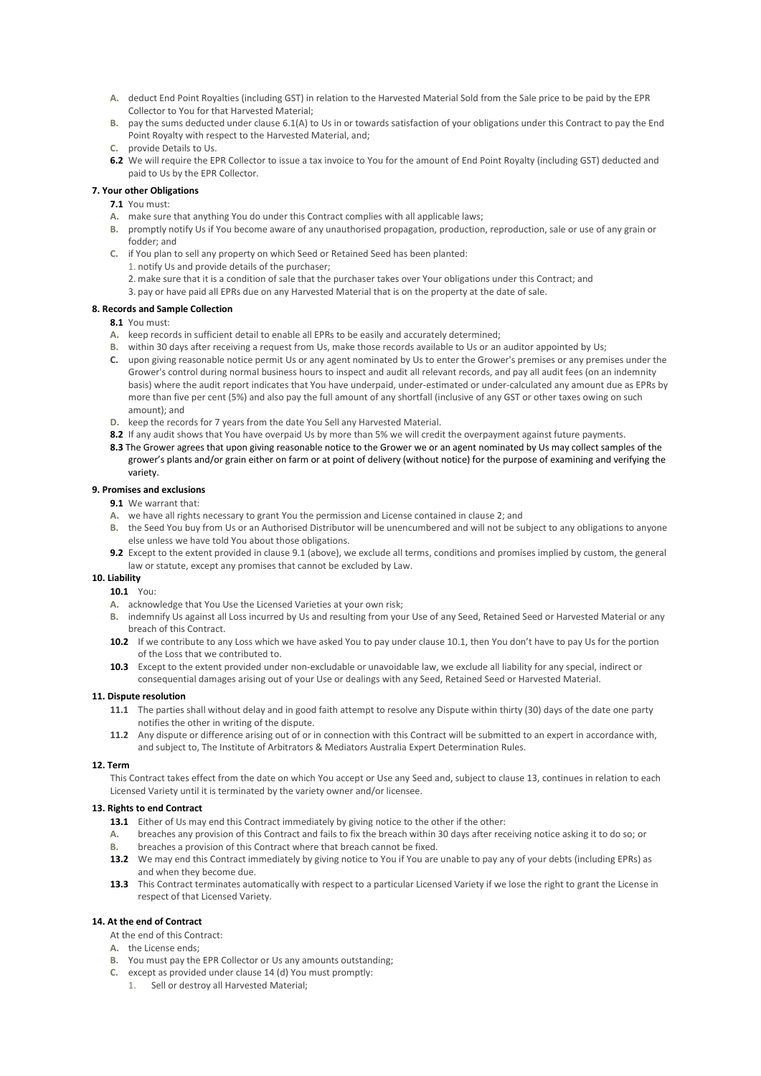- **A.** deduct End Point Royalties (including GST) in relation to the Harvested Material Sold from the Sale price to be paid by the EPR Collector to You for that Harvested Material;
- **B.** pay the sums deducted under clause 6.1(A) to Us in or towards satisfaction of your obligations under this Contract to pay the End Point Royalty with respect to the Harvested Material, and;
- **C.** provide Details to Us.
- **6.2** We will require the EPR Collector to issue a tax invoice to You for the amount of End Point Royalty (including GST) deducted and paid to Us by the EPR Collector.

#### **7. Your other Obligations**

- **7.1** You must:
- **A.** make sure that anything You do under this Contract complies with all applicable laws;
- **B.** promptly notify Us if You become aware of any unauthorised propagation, production, reproduction, sale or use of any grain or fodder; and
- **C.** if You plan to sell any property on which Seed or Retained Seed has been planted:
	- 1. notify Us and provide details of the purchaser;
	- 2. make sure that it is a condition of sale that the purchaser takes over Your obligations under this Contract; and
	- 3. pay or have paid all EPRs due on any Harvested Material that is on the property at the date of sale.

#### **8. Records and Sample Collection**

- **8.1** You must:
- **A.** keep records in sufficient detail to enable all EPRs to be easily and accurately determined;
- **B.** within 30 days after receiving a request from Us, make those records available to Us or an auditor appointed by Us;
- **C.** upon giving reasonable notice permit Us or any agent nominated by Us to enter the Grower's premises or any premises under the Grower's control during normal business hours to inspect and audit all relevant records, and pay all audit fees (on an indemnity basis) where the audit report indicates that You have underpaid, under-estimated or under-calculated any amount due as EPRs by more than five per cent (5%) and also pay the full amount of any shortfall (inclusive of any GST or other taxes owing on such amount); and
- **D.** keep the records for 7 years from the date You Sell any Harvested Material.
- **8.2** If any audit shows that You have overpaid Us by more than 5% we will credit the overpayment against future payments.
- **8.3** The Grower agrees that upon giving reasonable notice to the Grower we or an agent nominated by Us may collect samples of the grower's plants and/or grain either on farm or at point of delivery (without notice) for the purpose of examining and verifying the variety.

#### **9. Promises and exclusions**

- **9.1** We warrant that:
- **A.** we have all rights necessary to grant You the permission and License contained in clause 2; and
- **B.** the Seed You buy from Us or an Authorised Distributor will be unencumbered and will not be subject to any obligations to anyone else unless we have told You about those obligations.
- **9.2** Except to the extent provided in clause 9.1 (above), we exclude all terms, conditions and promises implied by custom, the general law or statute, except any promises that cannot be excluded by Law.

#### **10. Liability**

- **10.1** You:
- **A.** acknowledge that You Use the Licensed Varieties at your own risk;
- **B.** indemnify Us against all Loss incurred by Us and resulting from your Use of any Seed, Retained Seed or Harvested Material or any breach of this Contract.
- **10.2** If we contribute to any Loss which we have asked You to pay under clause 10.1, then You don't have to pay Us for the portion of the Loss that we contributed to.
- **10.3** Except to the extent provided under non-excludable or unavoidable law, we exclude all liability for any special, indirect or consequential damages arising out of your Use or dealings with any Seed, Retained Seed or Harvested Material.

#### **11. Dispute resolution**

- **11.1** The parties shall without delay and in good faith attempt to resolve any Dispute within thirty (30) days of the date one party notifies the other in writing of the dispute.
- **11.2** Any dispute or difference arising out of or in connection with this Contract will be submitted to an expert in accordance with, and subject to, The Institute of Arbitrators & Mediators Australia Expert Determination Rules.

#### **12. Term**

This Contract takes effect from the date on which You accept or Use any Seed and, subject to clause 13, continues in relation to each Licensed Variety until it is terminated by the variety owner and/or licensee.

#### **13. Rights to end Contract**

- **13.1** Either of Us may end this Contract immediately by giving notice to the other if the other:
- **A.** breaches any provision of this Contract and fails to fix the breach within 30 days after receiving notice asking it to do so; or **B.** breaches a provision of this Contract where that breach cannot be fixed.
- **B.** breaches a provision of this Contract where that breach cannot be fixed.
- **13.2** We may end this Contract immediately by giving notice to You if You are unable to pay any of your debts (including EPRs) as and when they become due.
- **13.3** This Contract terminates automatically with respect to a particular Licensed Variety if we lose the right to grant the License in respect of that Licensed Variety.

#### **14. At the end of Contract**

- At the end of this Contract:
- **A.** the License ends;
- **B.** You must pay the EPR Collector or Us any amounts outstanding;
- **C.** except as provided under clause 14 (d) You must promptly:
	- 1. Sell or destroy all Harvested Material;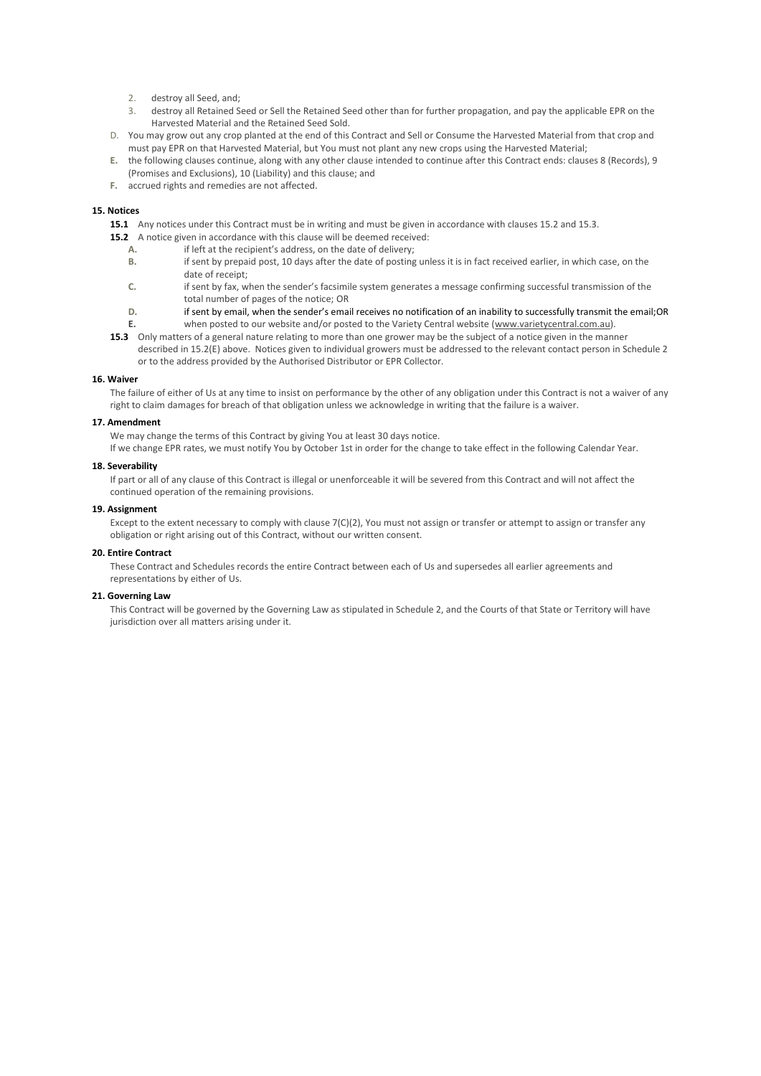- 2. destroy all Seed, and;
- 3. destroy all Retained Seed or Sell the Retained Seed other than for further propagation, and pay the applicable EPR on the Harvested Material and the Retained Seed Sold.
- D. You may grow out any crop planted at the end of this Contract and Sell or Consume the Harvested Material from that crop and must pay EPR on that Harvested Material, but You must not plant any new crops using the Harvested Material;
- **E.** the following clauses continue, along with any other clause intended to continue after this Contract ends: clauses 8 (Records), 9 (Promises and Exclusions), 10 (Liability) and this clause; and
- **F.** accrued rights and remedies are not affected.

#### **15. Notices**

**15.1** Any notices under this Contract must be in writing and must be given in accordance with clauses 15.2 and 15.3.

- **15.2** A notice given in accordance with this clause will be deemed received:
	- **A.** if left at the recipient's address, on the date of delivery;
	- **B.** if sent by prepaid post, 10 days after the date of posting unless it is in fact received earlier, in which case, on the date of receipt;
	- **C.** if sent by fax, when the sender's facsimile system generates a message confirming successful transmission of the total number of pages of the notice; OR
	- **D.** if sent by email, when the sender's email receives no notification of an inability to successfully transmit the email;OR
	- **E.** when posted to our website and/or posted to the Variety Central website [\(www.varietycentral.com.au\).](http://www.varietycentral.com.au/)
- **15.3** Only matters of a general nature relating to more than one grower may be the subject of a notice given in the manner described in 15.2(E) above. Notices given to individual growers must be addressed to the relevant contact person in Schedule 2 or to the address provided by the Authorised Distributor or EPR Collector.

#### **16. Waiver**

The failure of either of Us at any time to insist on performance by the other of any obligation under this Contract is not a waiver of any right to claim damages for breach of that obligation unless we acknowledge in writing that the failure is a waiver.

#### **17. Amendment**

We may change the terms of this Contract by giving You at least 30 days notice.

If we change EPR rates, we must notify You by October 1st in order for the change to take effect in the following Calendar Year.

#### **18. Severability**

If part or all of any clause of this Contract is illegal or unenforceable it will be severed from this Contract and will not affect the continued operation of the remaining provisions.

#### **19. Assignment**

Except to the extent necessary to comply with clause 7(C)(2), You must not assign or transfer or attempt to assign or transfer any obligation or right arising out of this Contract, without our written consent.

#### **20. Entire Contract**

These Contract and Schedules records the entire Contract between each of Us and supersedes all earlier agreements and representations by either of Us.

#### **21. Governing Law**

This Contract will be governed by the Governing Law as stipulated in Schedule 2, and the Courts of that State or Territory will have jurisdiction over all matters arising under it.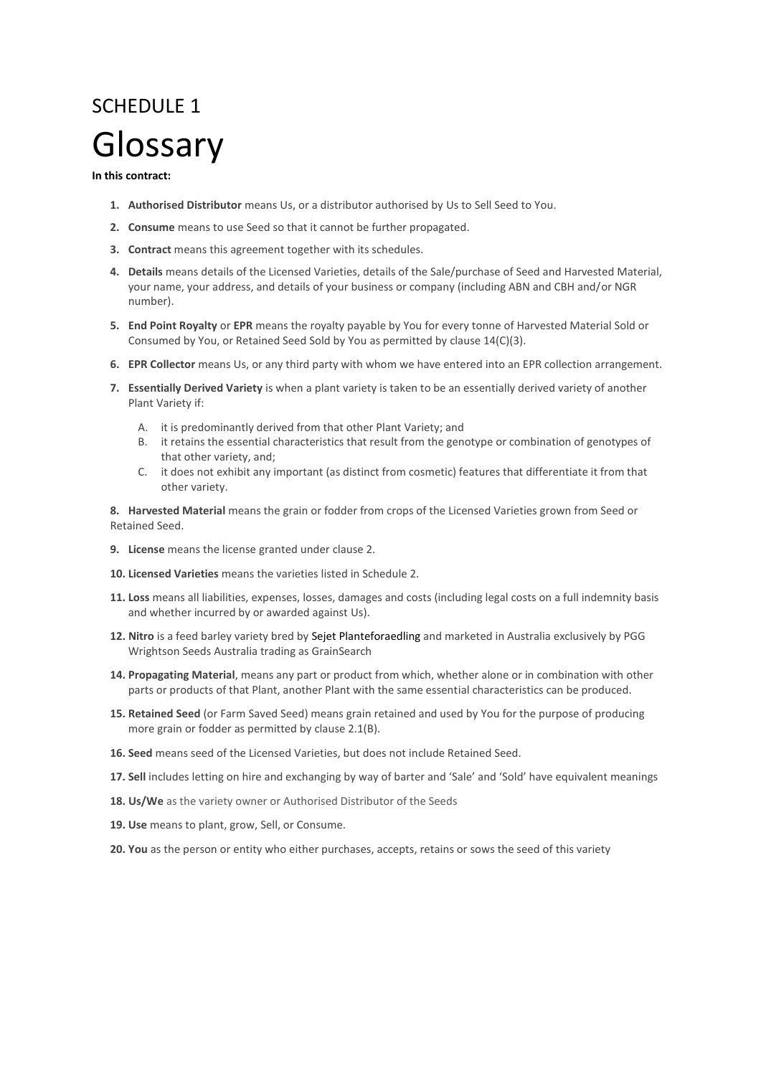## SCHEDULE 1 Glossary

### **In this contract:**

- **1. Authorised Distributor** means Us, or a distributor authorised by Us to Sell Seed to You.
- **2. Consume** means to use Seed so that it cannot be further propagated.
- **3. Contract** means this agreement together with its schedules.
- **4. Details** means details of the Licensed Varieties, details of the Sale/purchase of Seed and Harvested Material, your name, your address, and details of your business or company (including ABN and CBH and/or NGR number).
- **5. End Point Royalty** or **EPR** means the royalty payable by You for every tonne of Harvested Material Sold or Consumed by You, or Retained Seed Sold by You as permitted by clause 14(C)(3).
- **6. EPR Collector** means Us, or any third party with whom we have entered into an EPR collection arrangement.
- **7. Essentially Derived Variety** is when a plant variety is taken to be an essentially derived variety of another Plant Variety if:
	- A. it is predominantly derived from that other Plant Variety; and
	- B. it retains the essential characteristics that result from the genotype or combination of genotypes of that other variety, and;
	- C. it does not exhibit any important (as distinct from cosmetic) features that differentiate it from that other variety.

**8. Harvested Material** means the grain or fodder from crops of the Licensed Varieties grown from Seed or Retained Seed.

- **9. License** means the license granted under clause 2.
- **10. Licensed Varieties** means the varieties listed in Schedule 2.
- **11. Loss** means all liabilities, expenses, losses, damages and costs (including legal costs on a full indemnity basis and whether incurred by or awarded against Us).
- **12. Nitro** is a feed barley variety bred by Sejet Planteforaedling and marketed in Australia exclusively by PGG Wrightson Seeds Australia trading as GrainSearch
- **14. Propagating Material**, means any part or product from which, whether alone or in combination with other parts or products of that Plant, another Plant with the same essential characteristics can be produced.
- **15. Retained Seed** (or Farm Saved Seed) means grain retained and used by You for the purpose of producing more grain or fodder as permitted by clause 2.1(B).
- **16. Seed** means seed of the Licensed Varieties, but does not include Retained Seed.
- **17. Sell** includes letting on hire and exchanging by way of barter and 'Sale' and 'Sold' have equivalent meanings
- 18. Us/We as the variety owner or Authorised Distributor of the Seeds
- **19. Use** means to plant, grow, Sell, or Consume.
- **20. You** as the person or entity who either purchases, accepts, retains or sows the seed of this variety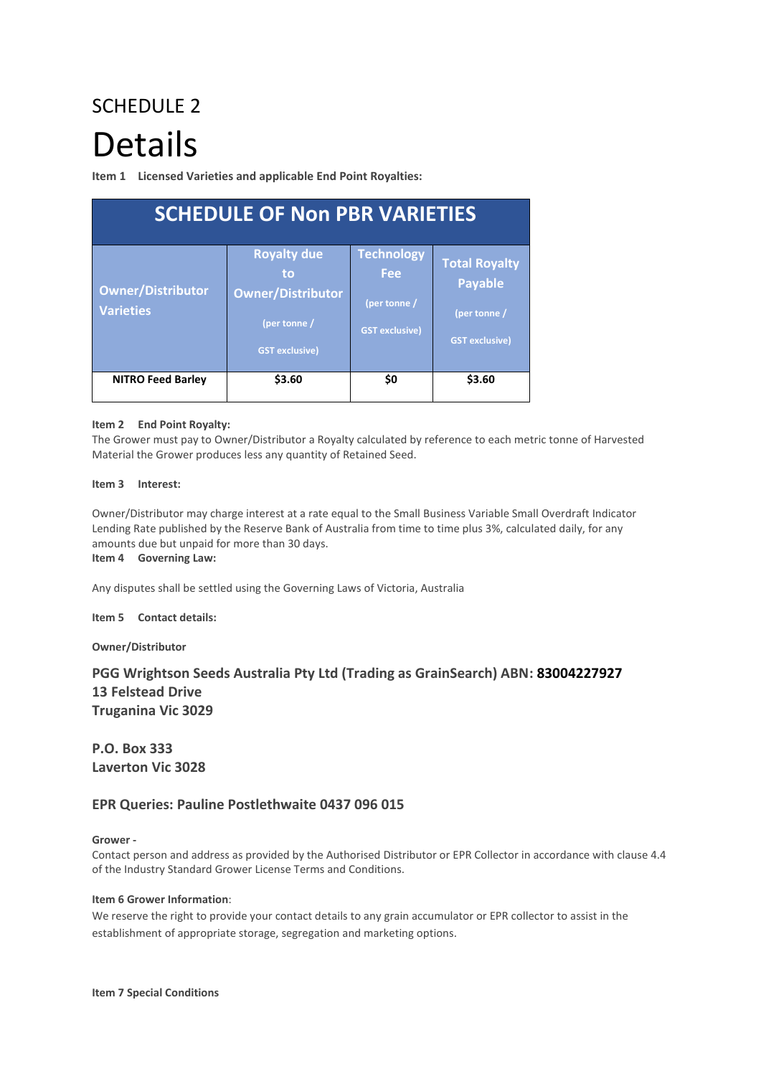# SCHEDULE 2 Details

**Item 1 Licensed Varieties and applicable End Point Royalties:**

| <b>SCHEDULE OF Non PBR VARIETIES</b>         |                                                                                               |                                                                          |                                                                                 |
|----------------------------------------------|-----------------------------------------------------------------------------------------------|--------------------------------------------------------------------------|---------------------------------------------------------------------------------|
| <b>Owner/Distributor</b><br><b>Varieties</b> | <b>Royalty due</b><br>to<br><b>Owner/Distributor</b><br>(per tonne /<br><b>GST exclusive)</b> | <b>Technology</b><br><b>Fee</b><br>(per tonne /<br><b>GST exclusive)</b> | <b>Total Royalty</b><br><b>Payable</b><br>(per tonne /<br><b>GST exclusive)</b> |
| <b>NITRO Feed Barley</b>                     | \$3.60                                                                                        | \$0                                                                      | \$3.60                                                                          |

## **Item 2 End Point Royalty:**

The Grower must pay to Owner/Distributor a Royalty calculated by reference to each metric tonne of Harvested Material the Grower produces less any quantity of Retained Seed.

## **Item 3 Interest:**

Owner/Distributor may charge interest at a rate equal to the Small Business Variable Small Overdraft Indicator Lending Rate published by the Reserve Bank of Australia from time to time plus 3%, calculated daily, for any amounts due but unpaid for more than 30 days.

**Item 4 Governing Law:** 

Any disputes shall be settled using the Governing Laws of Victoria, Australia

## **Item 5 Contact details:**

**Owner/Distributor**

## **PGG Wrightson Seeds Australia Pty Ltd (Trading as GrainSearch) ABN: 83004227927 13 Felstead Drive Truganina Vic 3029**

**P.O. Box 333 Laverton Vic 3028**

## **EPR Queries: Pauline Postlethwaite 0437 096 015**

## **Grower -**

Contact person and address as provided by the Authorised Distributor or EPR Collector in accordance with clause 4.4 of the Industry Standard Grower License Terms and Conditions.

## **Item 6 Grower Information**:

We reserve the right to provide your contact details to any grain accumulator or EPR collector to assist in the establishment of appropriate storage, segregation and marketing options.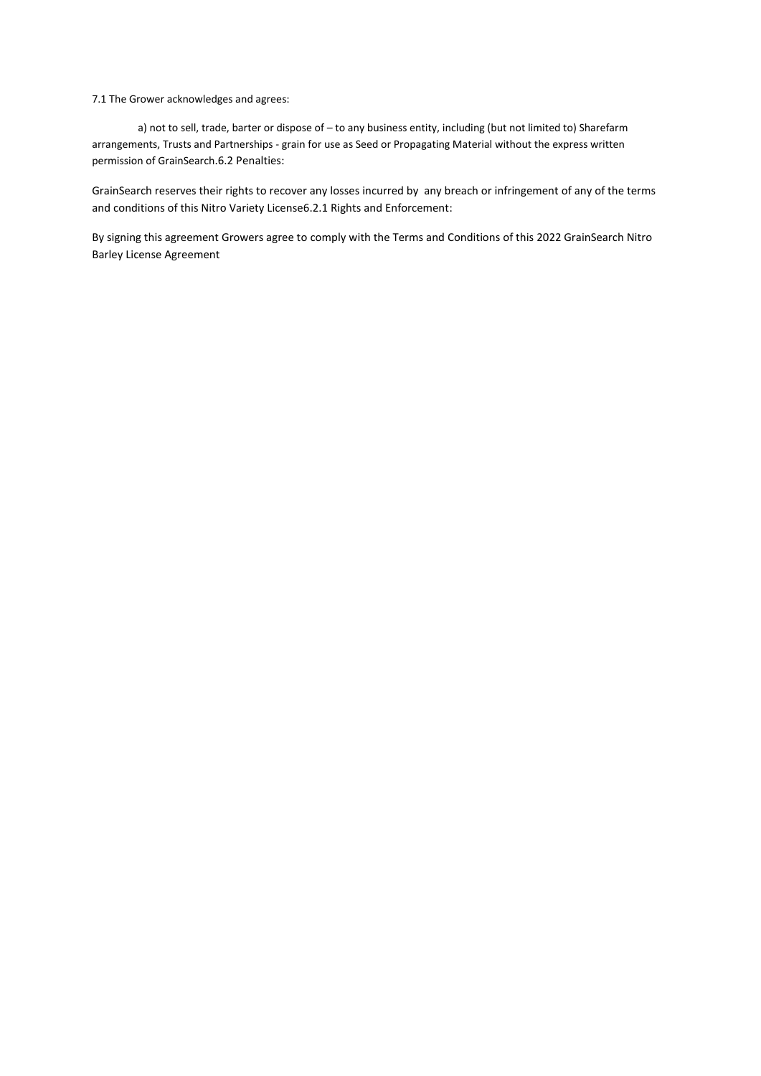7.1 The Grower acknowledges and agrees:

a) not to sell, trade, barter or dispose of – to any business entity, including (but not limited to) Sharefarm arrangements, Trusts and Partnerships - grain for use as Seed or Propagating Material without the express written permission of GrainSearch.6.2 Penalties:

GrainSearch reserves their rights to recover any losses incurred by any breach or infringement of any of the terms and conditions of this Nitro Variety License6.2.1 Rights and Enforcement:

By signing this agreement Growers agree to comply with the Terms and Conditions of this 2022 GrainSearch Nitro Barley License Agreement